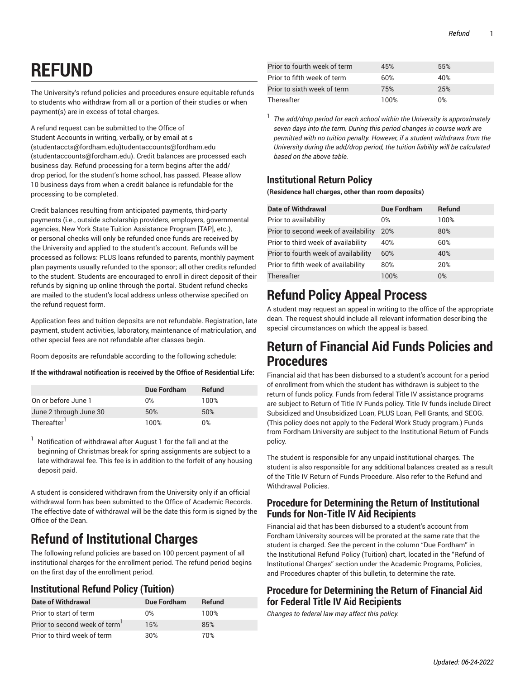# **REFUND**

The University's refund policies and procedures ensure equitable refunds to students who withdraw from all or a portion of their studies or when payment(s) are in excess of total charges.

A refund request can be submitted to the Office of Student Accounts in writing, verbally, or by email at [s](mailto:studentaccts@fordham.edu) (<studentaccts@fordham.edu>)[tudentaccounts@fordham.edu](mailto:studentaccounts@fordham.edu) ([studentaccounts@fordham.edu\)](studentaccounts@fordham.edu). Credit balances are processed each business day. Refund processing for a term begins after the add/ drop period, for the student's home school, has passed. Please allow 10 business days from when a credit balance is refundable for the processing to be completed.

Credit balances resulting from anticipated payments, third-party payments (i.e., outside scholarship providers, employers, governmental agencies, New York State Tuition Assistance Program [TAP], etc.), or personal checks will only be refunded once funds are received by the University and applied to the student's account. Refunds will be processed as follows: PLUS loans refunded to parents, monthly payment plan payments usually refunded to the sponsor; all other credits refunded to the student. Students are encouraged to enroll in direct deposit of their refunds by signing up online through the portal. Student refund checks are mailed to the student's local address unless otherwise specified on the refund request form.

Application fees and tuition deposits are not refundable. Registration, late payment, student activities, laboratory, maintenance of matriculation, and other special fees are not refundable after classes begin.

Room deposits are refundable according to the following schedule:

**If the withdrawal notification is received by the Office of Residential Life:**

|                         | Due Fordham | <b>Refund</b> |
|-------------------------|-------------|---------------|
| On or before June 1     | $0\%$       | 100%          |
| June 2 through June 30  | 50%         | 50%           |
| Thereafter <sup>1</sup> | 100%        | $0\%$         |

<sup>1</sup> Notification of withdrawal after August 1 for the fall and at the beginning of Christmas break for spring assignments are subject to a late withdrawal fee. This fee is in addition to the forfeit of any housing deposit paid.

A student is considered withdrawn from the University only if an official withdrawal form has been submitted to the Office of Academic Records. The effective date of withdrawal will be the date this form is signed by the Office of the Dean.

# **Refund of Institutional Charges**

The following refund policies are based on 100 percent payment of all institutional charges for the enrollment period. The refund period begins on the first day of the enrollment period.

# **Institutional Refund Policy (Tuition)**

| Date of Withdrawal                        | Due Fordham | Refund |
|-------------------------------------------|-------------|--------|
| Prior to start of term                    | $0\%$       | 100%   |
| Prior to second week of term <sup>1</sup> | 15%         | 85%    |
| Prior to third week of term               | 30%         | 7በ%    |

| Prior to fourth week of term | 45%  | 55%   |
|------------------------------|------|-------|
| Prior to fifth week of term  | 60%  | 40%   |
| Prior to sixth week of term  | 75%  | 25%   |
| Thereafter                   | 100% | $0\%$ |

1 *The add/drop period for each school within the University is approximately seven days into the term. During this period changes in course work are permitted with no tuition penalty. However, if a student withdraws from the University during the add/drop period, the tuition liability will be calculated based on the above table.*

# **Institutional Return Policy**

**(Residence hall charges, other than room deposits)**

| <b>Date of Withdrawal</b>            | <b>Due Fordham</b> | <b>Refund</b> |
|--------------------------------------|--------------------|---------------|
| Prior to availability                | $0\%$              | 100%          |
| Prior to second week of availability | 20%                | 80%           |
| Prior to third week of availability  | 40%                | 60%           |
| Prior to fourth week of availability | 60%                | 40%           |
| Prior to fifth week of availability  | 80%                | 20%           |
| Thereafter                           | 100%               | $0\%$         |

# **Refund Policy Appeal Process**

A student may request an appeal in writing to the office of the appropriate dean. The request should include all relevant information describing the special circumstances on which the appeal is based.

# **Return of Financial Aid Funds Policies and Procedures**

Financial aid that has been disbursed to a student's account for a period of enrollment from which the student has withdrawn is subject to the return of funds policy. Funds from federal Title IV assistance programs are subject to Return of Title IV Funds policy. Title IV funds include Direct Subsidized and Unsubsidized Loan, PLUS Loan, Pell Grants, and SEOG. (This policy does not apply to the Federal Work Study program.) Funds from Fordham University are subject to the Institutional Return of Funds policy.

The student is responsible for any unpaid institutional charges. The student is also responsible for any additional balances created as a result of the Title IV Return of Funds Procedure. Also refer to the Refund and Withdrawal Policies.

### **Procedure for Determining the Return of Institutional Funds for Non-Title IV Aid Recipients**

Financial aid that has been disbursed to a student's account from Fordham University sources will be prorated at the same rate that the student is charged. See the percent in the column "Due Fordham" in the Institutional Refund Policy (Tuition) chart, located in the "Refund of Institutional Charges" section under the Academic Programs, Policies, and Procedures chapter of this bulletin, to determine the rate.

### **Procedure for Determining the Return of Financial Aid for Federal Title IV Aid Recipients**

*Changes to federal law may affect this policy.*